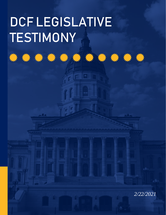# DCF LEGISLATIVE TESTIMONY

\*\*\*\*\*\*\*\*\*\*\*\*\*

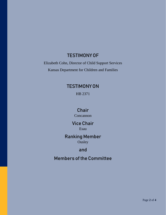# TESTIMONY OF

Elizabeth Cohn, Director of Child Support Services Kansas Department for Children and Families

# TESTIMONY ON

HB 2371

# Chair

**Concannon** 

## Vice Chair Esau

## Ranking Member **Ousley**

# and

# Members of the Committee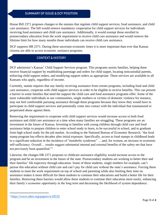### SUMMARY OF ISSUE & DCF POSITION

House Bill 2371 proposes changes to the statutes that regulate child support services, food assistance, and child care assistance. The bill would remove mandatory cooperation for child support services for individuals receiving food assistance and child care assistance. Additionally, it would exempt those enrolled in postsecondary education from the work requirement to receive child care assistance and would remove the lifetime limit for how many months those individuals can receive child care assistance.

DCF supports HB 2371. During these uncertain economic times it is more important than ever that Kansas citizens are able to access economic assitance programs.

## CONTEXT & HISTORY

DCF administer's Kansas' Child Support Services program. This programs assists families, helping them receive financial support by establishing parentage and orders for child supprt, locating noncustodial parents, enforcing child support orders, and modifying support orders as appropriate. These services are available to all Kansans who apply, regardless of income.

Currently, statute requires that any family receiving assistance from certain programs, including food and child care assistance, cooperate with child support services in order to be eligible to receive benefits. This can present a barrier to some families that need the support the child care and food assistance programs offer. Some of the most vulnerable individuals in our communities, single mothers or victims of domestic violence for instance, may not feel comfortable pursuing assistance through these programs because they know they would have to participate in child support services and potentially come into contact with the individual that traumatuzed or perpetrated abuse against them.

Removing the requirement to cooperate with child support services would increase access to both food assistance and child care assistance at a time when many families are struggling. These programs are an investment in the future of Kansas. Investing in families with young children through child care and food assistance helps to prepare children to enter school ready to learn, to be successful in school, and to graduate from high school ready for the job market. According to the National Bureau of Economic Research, "the food stamp program has effects decades after initial exposure. Specifically, access to food stamps in childhood leads to a significant reduction in the incidence of "metabolic syndrome" ….and, for women, an increase in economic self-sufficiency. Overall… results suggest substantial internal and external benefits of the safety net that have not previously been quantified."

Likewise, the changes HB 2371 proposes to childcare assistance eligibility would increase access to the program and be an investment in the future of the state. Postsecondary students are working to better their and their families' life trajectory through education. Some of these students, single mothers for example, can't pursue this education without child care and can't pay for child care without the state's assistance. Forcing these students to meet the work requirement on top of school and parenting while also limiting their time on assistance makes it more difficult for these students to continue their educations and build a better life for their families. Removing these barriers would allow these students to continue their education more easily, enhancing their family's economic opportunity in the long term and decreasing the likelihood of system dependence.

<sup>1</sup> <https://www.nber.org/papers/w18535>